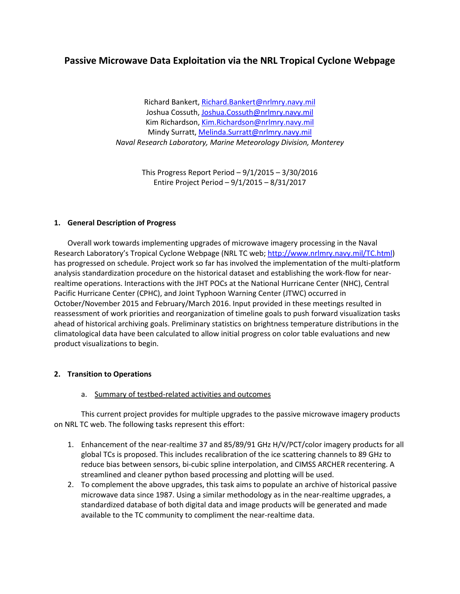# **Passive Microwave Data Exploitation via the NRL Tropical Cyclone Webpage**

Richard Bankert[, Richard.Bankert@nrlmry.navy.mil](mailto:Richard.Bankert@nrlmry.navy.mil) Joshua Cossuth[, Joshua.Cossuth@nrlmry.navy.mil](mailto:Joshua.Cossuth@nrlmry.navy.mil) Kim Richardson[, Kim.Richardson@nrlmry.navy.mil](mailto:Kim.Richardson@nrlmry.navy.mil) Mindy Surratt, [Melinda.Surratt@nrlmry.navy.mil](mailto:Melinda.Surratt@nrlmry.navy.mil) *Naval Research Laboratory, Marine Meteorology Division, Monterey*

> This Progress Report Period – 9/1/2015 – 3/30/2016 Entire Project Period – 9/1/2015 – 8/31/2017

#### **1. General Description of Progress**

Overall work towards implementing upgrades of microwave imagery processing in the Naval Research Laboratory's Tropical Cyclone Webpage (NRL TC web[; http://www.nrlmry.navy.mil/TC.html\)](http://www.nrlmry.navy.mil/TC.html) has progressed on schedule. Project work so far has involved the implementation of the multi-platform analysis standardization procedure on the historical dataset and establishing the work-flow for nearrealtime operations. Interactions with the JHT POCs at the National Hurricane Center (NHC), Central Pacific Hurricane Center (CPHC), and Joint Typhoon Warning Center (JTWC) occurred in October/November 2015 and February/March 2016. Input provided in these meetings resulted in reassessment of work priorities and reorganization of timeline goals to push forward visualization tasks ahead of historical archiving goals. Preliminary statistics on brightness temperature distributions in the climatological data have been calculated to allow initial progress on color table evaluations and new product visualizations to begin.

#### **2. Transition to Operations**

#### a. Summary of testbed-related activities and outcomes

This current project provides for multiple upgrades to the passive microwave imagery products on NRL TC web. The following tasks represent this effort:

- 1. Enhancement of the near-realtime 37 and 85/89/91 GHz H/V/PCT/color imagery products for all global TCs is proposed. This includes recalibration of the ice scattering channels to 89 GHz to reduce bias between sensors, bi-cubic spline interpolation, and CIMSS ARCHER recentering. A streamlined and cleaner python based processing and plotting will be used.
- 2. To complement the above upgrades, this task aims to populate an archive of historical passive microwave data since 1987. Using a similar methodology as in the near-realtime upgrades, a standardized database of both digital data and image products will be generated and made available to the TC community to compliment the near-realtime data.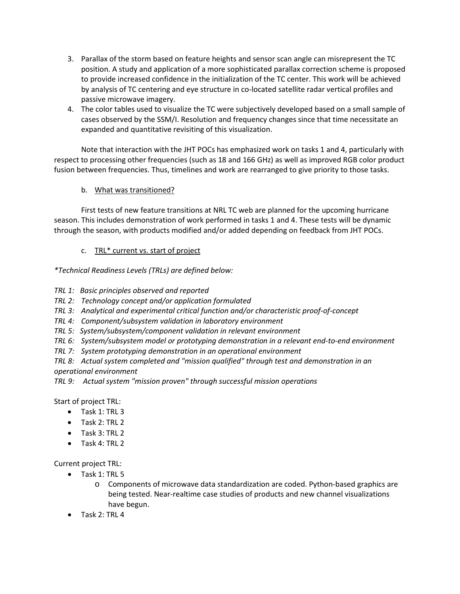- 3. Parallax of the storm based on feature heights and sensor scan angle can misrepresent the TC position. A study and application of a more sophisticated parallax correction scheme is proposed to provide increased confidence in the initialization of the TC center. This work will be achieved by analysis of TC centering and eye structure in co-located satellite radar vertical profiles and passive microwave imagery.
- 4. The color tables used to visualize the TC were subjectively developed based on a small sample of cases observed by the SSM/I. Resolution and frequency changes since that time necessitate an expanded and quantitative revisiting of this visualization.

Note that interaction with the JHT POCs has emphasized work on tasks 1 and 4, particularly with respect to processing other frequencies (such as 18 and 166 GHz) as well as improved RGB color product fusion between frequencies. Thus, timelines and work are rearranged to give priority to those tasks.

# b. What was transitioned?

First tests of new feature transitions at NRL TC web are planned for the upcoming hurricane season. This includes demonstration of work performed in tasks 1 and 4. These tests will be dynamic through the season, with products modified and/or added depending on feedback from JHT POCs.

# c. TRL\* current vs. start of project

*\*Technical Readiness Levels (TRLs) are defined below:*

- *TRL 1: Basic principles observed and reported*
- *TRL 2: Technology concept and/or application formulated*
- *TRL 3: Analytical and experimental critical function and/or characteristic proof-of-concept*
- *TRL 4: Component/subsystem validation in laboratory environment*
- *TRL 5: System/subsystem/component validation in relevant environment*
- *TRL 6: System/subsystem model or prototyping demonstration in a relevant end-to-end environment*
- *TRL 7: System prototyping demonstration in an operational environment*

*TRL 8: Actual system completed and "mission qualified" through test and demonstration in an operational environment* 

*TRL 9: Actual system "mission proven" through successful mission operations*

Start of project TRL:

- Task 1: TRL 3
- Task 2: TRL 2
- Task 3: TRL 2
- Task 4: TRL 2

Current project TRL:

- Task 1: TRL 5
	- o Components of microwave data standardization are coded. Python-based graphics are being tested. Near-realtime case studies of products and new channel visualizations have begun.
- Task 2: TRL 4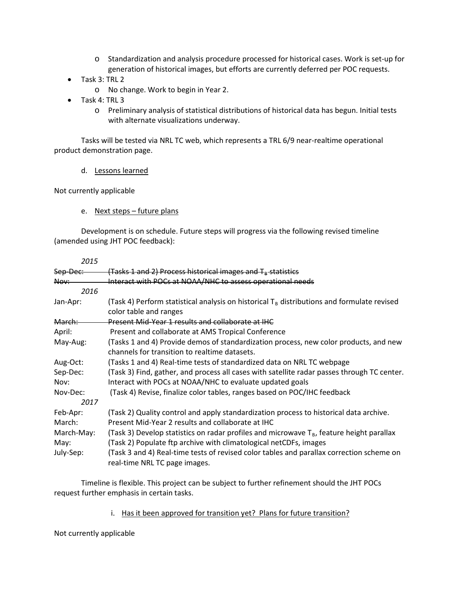- o Standardization and analysis procedure processed for historical cases. Work is set-up for generation of historical images, but efforts are currently deferred per POC requests.
- Task 3: TRL 2
	- o No change. Work to begin in Year 2.
- Task 4: TRL 3
	- o Preliminary analysis of statistical distributions of historical data has begun. Initial tests with alternate visualizations underway.

Tasks will be tested via NRL TC web, which represents a TRL 6/9 near-realtime operational product demonstration page.

d. Lessons learned

Not currently applicable

e. Next steps – future plans

Development is on schedule. Future steps will progress via the following revised timeline (amended using JHT POC feedback):

| 2015                |                                                                                                                                                         |
|---------------------|---------------------------------------------------------------------------------------------------------------------------------------------------------|
| <del>Sep-Dec:</del> | (Tasks 1 and 2) Process historical images and T <sub>B</sub> statistics                                                                                 |
| Nov:                | Interact with POCs at NOAA/NHC to assess operational needs                                                                                              |
| 2016                |                                                                                                                                                         |
| Jan-Apr:            | (Task 4) Perform statistical analysis on historical $T_B$ distributions and formulate revised<br>color table and ranges                                 |
| March:              | Present Mid-Year 1 results and collaborate at IHC                                                                                                       |
| April:              | Present and collaborate at AMS Tropical Conference                                                                                                      |
| May-Aug:            | (Tasks 1 and 4) Provide demos of standardization process, new color products, and new<br>channels for transition to realtime datasets.                  |
| Aug-Oct:            | (Tasks 1 and 4) Real-time tests of standardized data on NRL TC webpage                                                                                  |
| Sep-Dec:<br>Nov:    | (Task 3) Find, gather, and process all cases with satellite radar passes through TC center.<br>Interact with POCs at NOAA/NHC to evaluate updated goals |
| Nov-Dec:            | (Task 4) Revise, finalize color tables, ranges based on POC/IHC feedback                                                                                |
| 2017                |                                                                                                                                                         |
| Feb-Apr:            | (Task 2) Quality control and apply standardization process to historical data archive.                                                                  |
| March:              | Present Mid-Year 2 results and collaborate at IHC                                                                                                       |
| March-May:          | (Task 3) Develop statistics on radar profiles and microwave $T_{\rm B}$ , feature height parallax                                                       |
| May:                | (Task 2) Populate ftp archive with climatological netCDFs, images                                                                                       |
| July-Sep:           | (Task 3 and 4) Real-time tests of revised color tables and parallax correction scheme on<br>real-time NRL TC page images.                               |

Timeline is flexible. This project can be subject to further refinement should the JHT POCs request further emphasis in certain tasks.

i. Has it been approved for transition yet? Plans for future transition?

Not currently applicable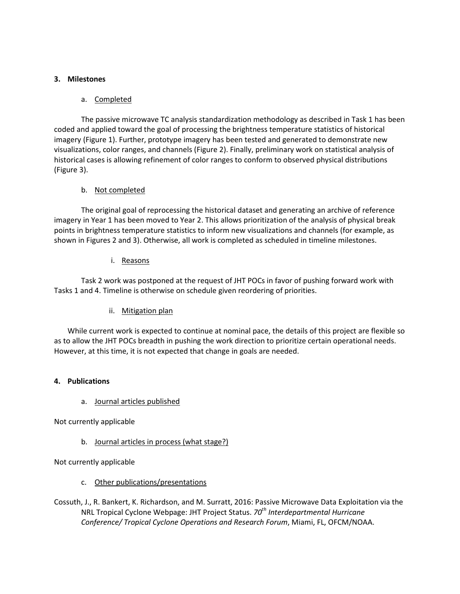#### **3. Milestones**

#### a. Completed

The passive microwave TC analysis standardization methodology as described in Task 1 has been coded and applied toward the goal of processing the brightness temperature statistics of historical imagery (Figure 1). Further, prototype imagery has been tested and generated to demonstrate new visualizations, color ranges, and channels (Figure 2). Finally, preliminary work on statistical analysis of historical cases is allowing refinement of color ranges to conform to observed physical distributions (Figure 3).

#### b. Not completed

The original goal of reprocessing the historical dataset and generating an archive of reference imagery in Year 1 has been moved to Year 2. This allows prioritization of the analysis of physical break points in brightness temperature statistics to inform new visualizations and channels (for example, as shown in Figures 2 and 3). Otherwise, all work is completed as scheduled in timeline milestones.

#### i. Reasons

Task 2 work was postponed at the request of JHT POCs in favor of pushing forward work with Tasks 1 and 4. Timeline is otherwise on schedule given reordering of priorities.

# ii. Mitigation plan

While current work is expected to continue at nominal pace, the details of this project are flexible so as to allow the JHT POCs breadth in pushing the work direction to prioritize certain operational needs. However, at this time, it is not expected that change in goals are needed.

#### **4. Publications**

a. Journal articles published

Not currently applicable

# b. Journal articles in process (what stage?)

Not currently applicable

- c. Other publications/presentations
- Cossuth, J., R. Bankert, K. Richardson, and M. Surratt, 2016: Passive Microwave Data Exploitation via the NRL Tropical Cyclone Webpage: JHT Project Status. *70th Interdepartmental Hurricane Conference/ Tropical Cyclone Operations and Research Forum*, Miami, FL, OFCM/NOAA.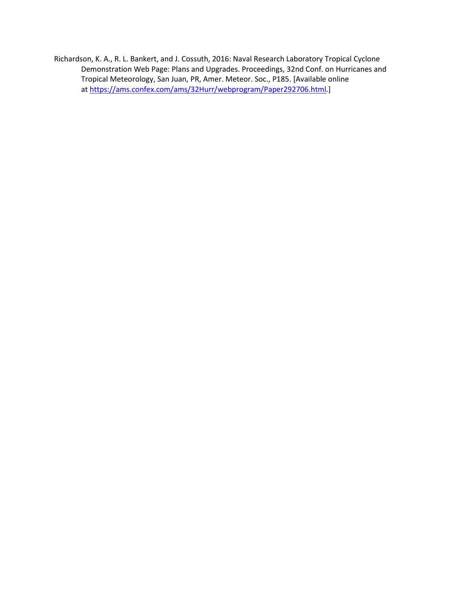Richardson, K. A., R. L. Bankert, and J. Cossuth, 2016: Naval Research Laboratory Tropical Cyclone Demonstration Web Page: Plans and Upgrades. Proceedings, 32nd Conf. on Hurricanes and Tropical Meteorology, San Juan, PR, Amer. Meteor. Soc., P185. [Available online at [https://ams.confex.com/ams/32Hurr/webprogram/Paper292706.html.](https://ams.confex.com/ams/32Hurr/webprogram/Paper292706.html)]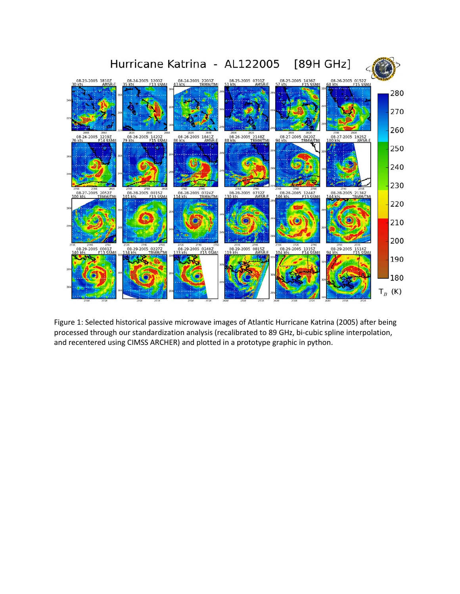

Figure 1: Selected historical passive microwave images of Atlantic Hurricane Katrina (2005) after being processed through our standardization analysis (recalibrated to 89 GHz, bi-cubic spline interpolation, and recentered using CIMSS ARCHER) and plotted in a prototype graphic in python.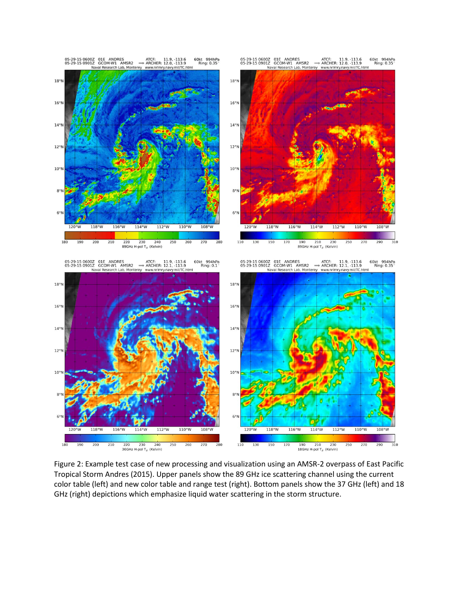

Figure 2: Example test case of new processing and visualization using an AMSR-2 overpass of East Pacific Tropical Storm Andres (2015). Upper panels show the 89 GHz ice scattering channel using the current color table (left) and new color table and range test (right). Bottom panels show the 37 GHz (left) and 18 GHz (right) depictions which emphasize liquid water scattering in the storm structure.